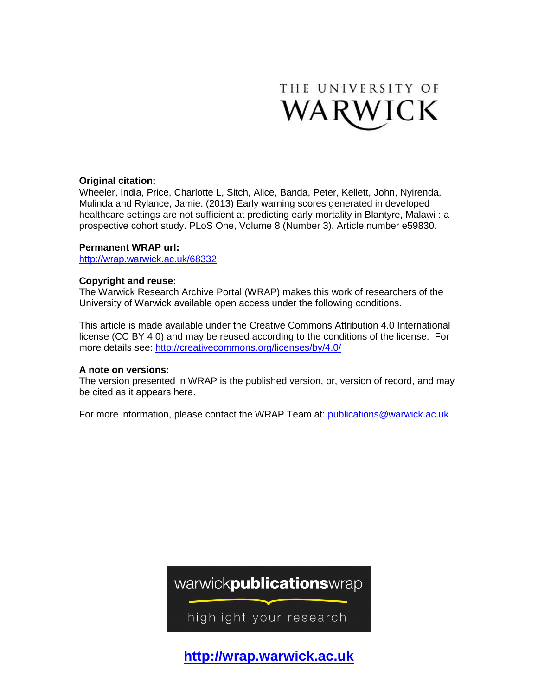

# **Original citation:**

Wheeler, India, Price, Charlotte L, Sitch, Alice, Banda, Peter, Kellett, John, Nyirenda, Mulinda and Rylance, Jamie. (2013) Early warning scores generated in developed healthcare settings are not sufficient at predicting early mortality in Blantyre, Malawi : a prospective cohort study. PLoS One, Volume 8 (Number 3). Article number e59830.

# **Permanent WRAP url:**

<http://wrap.warwick.ac.uk/68332>

# **Copyright and reuse:**

The Warwick Research Archive Portal (WRAP) makes this work of researchers of the University of Warwick available open access under the following conditions.

This article is made available under the Creative Commons Attribution 4.0 International license (CC BY 4.0) and may be reused according to the conditions of the license. For more details see:<http://creativecommons.org/licenses/by/4.0/>

# **A note on versions:**

The version presented in WRAP is the published version, or, version of record, and may be cited as it appears here.

For more information, please contact the WRAP Team at: [publications@warwick.ac.uk](mailto:publications@warwick.ac.uk)

warwickpublicationswrap

highlight your research

**[http://wrap.warwick.ac.uk](http://wrap.warwick.ac.uk/)**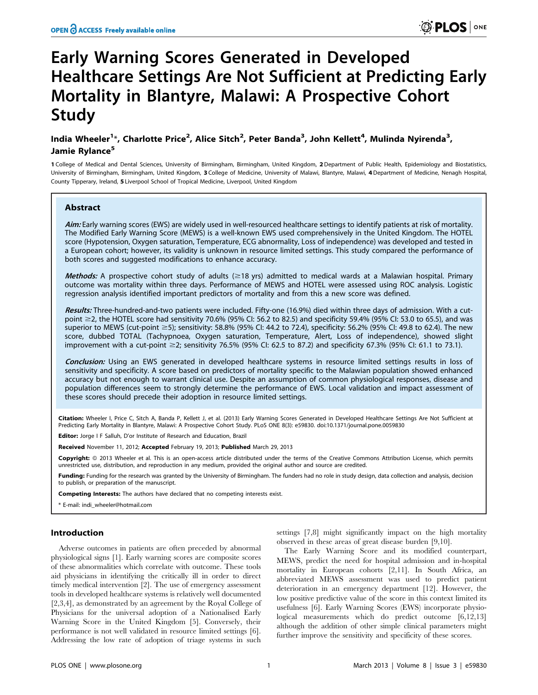# Early Warning Scores Generated in Developed Healthcare Settings Are Not Sufficient at Predicting Early Mortality in Blantyre, Malawi: A Prospective Cohort Study

# India Wheeler<sup>1</sup>\*, Charlotte Price<sup>2</sup>, Alice Sitch<sup>2</sup>, Peter Banda<sup>3</sup>, John Kellett<sup>4</sup>, Mulinda Nyirenda<sup>3</sup>, Jamie Rylance<sup>5</sup>

1 College of Medical and Dental Sciences, University of Birmingham, Birmingham, United Kingdom, 2Department of Public Health, Epidemiology and Biostatistics, University of Birmingham, Birmingham, United Kingdom, 3 College of Medicine, University of Malawi, Blantyre, Malawi, 4 Department of Medicine, Nenagh Hospital, County Tipperary, Ireland, 5 Liverpool School of Tropical Medicine, Liverpool, United Kingdom

# Abstract

Aim: Early warning scores (EWS) are widely used in well-resourced healthcare settings to identify patients at risk of mortality. The Modified Early Warning Score (MEWS) is a well-known EWS used comprehensively in the United Kingdom. The HOTEL score (Hypotension, Oxygen saturation, Temperature, ECG abnormality, Loss of independence) was developed and tested in a European cohort; however, its validity is unknown in resource limited settings. This study compared the performance of both scores and suggested modifications to enhance accuracy.

Methods: A prospective cohort study of adults ( $\geq$ 18 yrs) admitted to medical wards at a Malawian hospital. Primary outcome was mortality within three days. Performance of MEWS and HOTEL were assessed using ROC analysis. Logistic regression analysis identified important predictors of mortality and from this a new score was defined.

Results: Three-hundred-and-two patients were included. Fifty-one (16.9%) died within three days of admission. With a cutpoint  $\geq$ 2, the HOTEL score had sensitivity 70.6% (95% CI: 56.2 to 82.5) and specificity 59.4% (95% CI: 53.0 to 65.5), and was superior to MEWS (cut-point  $\geq$ 5); sensitivity: 58.8% (95% Cl: 44.2 to 72.4), specificity: 56.2% (95% Cl: 49.8 to 62.4). The new score, dubbed TOTAL (Tachypnoea, Oxygen saturation, Temperature, Alert, Loss of independence), showed slight improvement with a cut-point  $\geq$ 2; sensitivity 76.5% (95% CI: 62.5 to 87.2) and specificity 67.3% (95% CI: 61.1 to 73.1).

Conclusion: Using an EWS generated in developed healthcare systems in resource limited settings results in loss of sensitivity and specificity. A score based on predictors of mortality specific to the Malawian population showed enhanced accuracy but not enough to warrant clinical use. Despite an assumption of common physiological responses, disease and population differences seem to strongly determine the performance of EWS. Local validation and impact assessment of these scores should precede their adoption in resource limited settings.

Citation: Wheeler I, Price C, Sitch A, Banda P, Kellett J, et al. (2013) Early Warning Scores Generated in Developed Healthcare Settings Are Not Sufficient at Predicting Early Mortality in Blantyre, Malawi: A Prospective Cohort Study. PLoS ONE 8(3): e59830. doi:10.1371/journal.pone.0059830

Editor: Jorge I F Salluh, D'or Institute of Research and Education, Brazil

Received November 11, 2012; Accepted February 19, 2013; Published March 29, 2013

**Copyright:** © 2013 Wheeler et al. This is an open-access article distributed under the terms of the Creative Commons Attribution License, which permits unrestricted use, distribution, and reproduction in any medium, provided the original author and source are credited.

Funding: Funding for the research was granted by the University of Birmingham. The funders had no role in study design, data collection and analysis, decision to publish, or preparation of the manuscript.

Competing Interests: The authors have declared that no competing interests exist.

\* E-mail: indi\_wheeler@hotmail.com

# Introduction

Adverse outcomes in patients are often preceded by abnormal physiological signs [1]. Early warning scores are composite scores of these abnormalities which correlate with outcome. These tools aid physicians in identifying the critically ill in order to direct timely medical intervention [2]. The use of emergency assessment tools in developed healthcare systems is relatively well documented [2,3,4], as demonstrated by an agreement by the Royal College of Physicians for the universal adoption of a Nationalised Early Warning Score in the United Kingdom [5]. Conversely, their performance is not well validated in resource limited settings [6]. Addressing the low rate of adoption of triage systems in such

settings [7,8] might significantly impact on the high mortality observed in these areas of great disease burden [9,10].

The Early Warning Score and its modified counterpart, MEWS, predict the need for hospital admission and in-hospital mortality in European cohorts [2,11]. In South Africa, an abbreviated MEWS assessment was used to predict patient deterioration in an emergency department [12]. However, the low positive predictive value of the score in this context limited its usefulness [6]. Early Warning Scores (EWS) incorporate physiological measurements which do predict outcome [6,12,13] although the addition of other simple clinical parameters might further improve the sensitivity and specificity of these scores.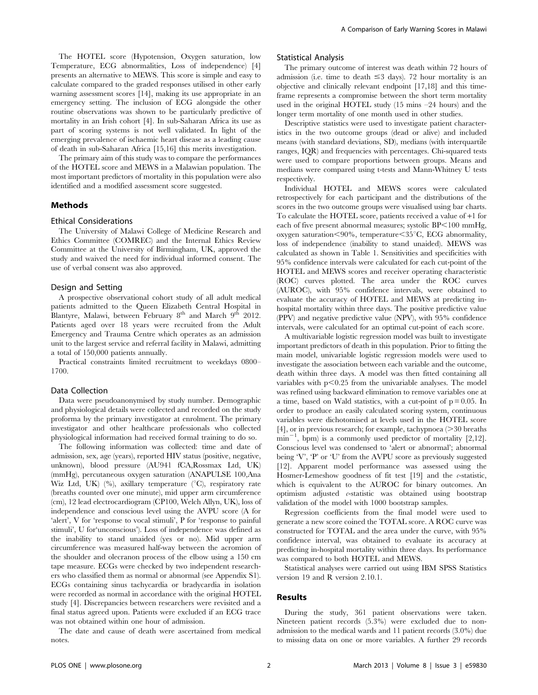The HOTEL score (Hypotension, Oxygen saturation, low Temperature, ECG abnormalities, Loss of independence) [4] presents an alternative to MEWS. This score is simple and easy to calculate compared to the graded responses utilised in other early warning assessment scores [14], making its use appropriate in an emergency setting. The inclusion of ECG alongside the other routine observations was shown to be particularly predictive of mortality in an Irish cohort [4]. In sub-Saharan Africa its use as part of scoring systems is not well validated. In light of the emerging prevalence of ischaemic heart disease as a leading cause of death in sub-Saharan Africa [15,16] this merits investigation.

The primary aim of this study was to compare the performances of the HOTEL score and MEWS in a Malawian population. The most important predictors of mortality in this population were also identified and a modified assessment score suggested.

# Methods

## Ethical Considerations

The University of Malawi College of Medicine Research and Ethics Committee (COMREC) and the Internal Ethics Review Committee at the University of Birmingham, UK, approved the study and waived the need for individual informed consent. The use of verbal consent was also approved.

## Design and Setting

A prospective observational cohort study of all adult medical patients admitted to the Queen Elizabeth Central Hospital in Blantyre, Malawi, between February  $8<sup>th</sup>$  and March  $9<sup>th</sup>$  2012. Patients aged over 18 years were recruited from the Adult Emergency and Trauma Centre which operates as an admission unit to the largest service and referral facility in Malawi, admitting a total of 150,000 patients annually.

Practical constraints limited recruitment to weekdays 0800– 1700.

#### Data Collection

Data were pseudoanonymised by study number. Demographic and physiological details were collected and recorded on the study proforma by the primary investigator at enrolment. The primary investigator and other healthcare professionals who collected physiological information had received formal training to do so.

The following information was collected: time and date of admission, sex, age (years), reported HIV status (positive, negative, unknown), blood pressure (AU941 fCA,Rossmax Ltd, UK) (mmHg), percutaneous oxygen saturation (ANAPULSE 100,Ana Wiz Ltd, UK) (%), axillary temperature ( $\rm ^{\circ}C$ ), respiratory rate (breaths counted over one minute), mid upper arm circumference (cm), 12 lead electrocardiogram (CP100, Welch Allyn, UK), loss of independence and conscious level using the AVPU score (A for 'alert', V for 'response to vocal stimuli', P for 'response to painful stimuli', U for'unconscious'). Loss of independence was defined as the inability to stand unaided (yes or no). Mid upper arm circumference was measured half-way between the acromion of the shoulder and olecranon process of the elbow using a 150 cm tape measure. ECGs were checked by two independent researchers who classified them as normal or abnormal (see Appendix S1). ECGs containing sinus tachycardia or bradycardia in isolation were recorded as normal in accordance with the original HOTEL study [4]. Discrepancies between researchers were revisited and a final status agreed upon. Patients were excluded if an ECG trace was not obtained within one hour of admission.

The date and cause of death were ascertained from medical notes.

#### Statistical Analysis

The primary outcome of interest was death within 72 hours of admission (i.e. time to death  $\leq$ 3 days). 72 hour mortality is an objective and clinically relevant endpoint [17,18] and this timeframe represents a compromise between the short term mortality used in the original HOTEL study (15 mins –24 hours) and the longer term mortality of one month used in other studies.

Descriptive statistics were used to investigate patient characteristics in the two outcome groups (dead or alive) and included means (with standard deviations, SD), medians (with interquartile ranges, IQR) and frequencies with percentages. Chi-squared tests were used to compare proportions between groups. Means and medians were compared using t-tests and Mann-Whitney U tests respectively.

Individual HOTEL and MEWS scores were calculated retrospectively for each participant and the distributions of the scores in the two outcome groups were visualised using bar charts. To calculate the HOTEL score, patients received a value of +1 for each of five present abnormal measures; systolic  $BP<100$  mmHg, oxygen saturation<90%, temperature $<$ 35°C, ECG abnormality, loss of independence (inability to stand unaided). MEWS was calculated as shown in Table 1. Sensitivities and specificities with 95% confidence intervals were calculated for each cut-point of the HOTEL and MEWS scores and receiver operating characteristic (ROC) curves plotted. The area under the ROC curves (AUROC), with 95% confidence intervals, were obtained to evaluate the accuracy of HOTEL and MEWS at predicting inhospital mortality within three days. The positive predictive value (PPV) and negative predictive value (NPV), with 95% confidence intervals, were calculated for an optimal cut-point of each score.

A multivariable logistic regression model was built to investigate important predictors of death in this population. Prior to fitting the main model, univariable logistic regression models were used to investigate the association between each variable and the outcome, death within three days. A model was then fitted containing all variables with  $p<0.25$  from the univariable analyses. The model was refined using backward elimination to remove variables one at a time, based on Wald statistics, with a cut-point of  $p = 0.05$ . In order to produce an easily calculated scoring system, continuous variables were dichotomised at levels used in the HOTEL score [4], or in previous research; for example, tachypnoea  $\geq 30$  breaths  $\min^{-1}$ , bpm) is a commonly used predictor of mortality [2,12]. Conscious level was condensed to 'alert or abnormal'; abnormal being 'V', 'P' or 'U' from the AVPU score as previously suggested [12]. Apparent model performance was assessed using the Hosmer-Lemeshow goodness of fit test [19] and the  $\epsilon$ -statistic, which is equivalent to the AUROC for binary outcomes. An optimism adjusted c-statistic was obtained using bootstrap validation of the model with 1000 bootstrap samples.

Regression coefficients from the final model were used to generate a new score coined the TOTAL score. A ROC curve was constructed for TOTAL and the area under the curve, with 95% confidence interval, was obtained to evaluate its accuracy at predicting in-hospital mortality within three days. Its performance was compared to both HOTEL and MEWS.

Statistical analyses were carried out using IBM SPSS Statistics version 19 and R version 2.10.1.

#### Results

During the study, 361 patient observations were taken. Nineteen patient records (5.3%) were excluded due to nonadmission to the medical wards and 11 patient records (3.0%) due to missing data on one or more variables. A further 29 records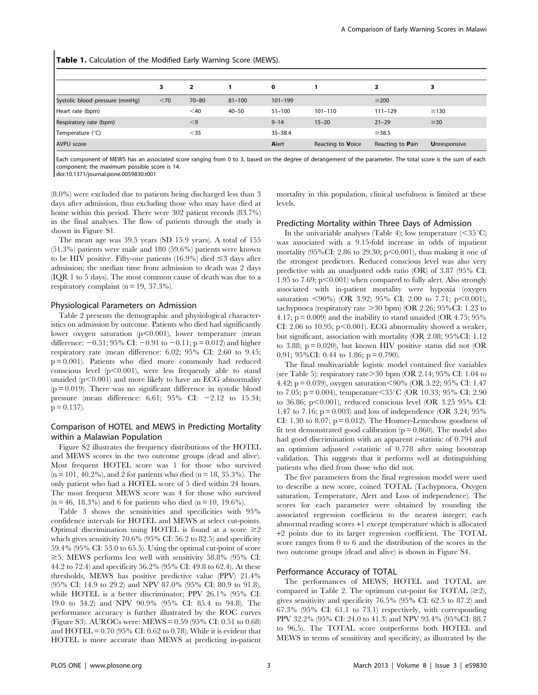Table 1. Calculation of the Modified Early Warning Score (MEWS).

|                                | 3    | $\overline{2}$ |            | 0           |                   |                  | з                   |
|--------------------------------|------|----------------|------------|-------------|-------------------|------------------|---------------------|
| Systolic blood pressure (mmHg) | < 70 | $70 - 80$      | $81 - 100$ | $101 - 199$ |                   | $\geq$ 200       |                     |
| Heart rate (bpm)               |      | $<$ 40         | $40 - 50$  | $51 - 100$  | $101 - 110$       | $111 - 129$      | $\geq$ 130          |
| Respiratory rate (bpm)         |      | $<$ 9          |            | $9 - 14$    | $15 - 20$         | $21 - 29$        | $\geq 30$           |
| Temperature (°C)               |      | $35$           |            | $35 - 38.4$ |                   | $\geq$ 38.5      |                     |
| AVPU score                     |      |                |            | Alert       | Reacting to Voice | Reacting to Pain | <b>Unresponsive</b> |

Each component of MEWS has an associated score ranging from 0 to 3, based on the degree of derangement of the parameter. The total score is the sum of each component: the maximum possible score is 14.

doi:10.1371/journal.pone.0059830.t001

(8.0%) were excluded due to patients being discharged less than 3 days after admission, thus excluding those who may have died at home within this period. There were 302 patient records (83.7%) in the final analyses. The flow of patients through the study is shown in Figure S1.

The mean age was 39.5 years (SD 15.9 years). A total of 155 (51.3%) patients were male and 180 (59.6%) patients were known to be HIV positive. Fifty-one patients (16.9%) died  $\leq$ 3 days after admission; the median time from admission to death was 2 days (IQR 1 to 5 days). The most common cause of death was due to a respiratory complaint ( $n = 19, 37.3\%$ ).

# Physiological Parameters on Admission

Table 2 presents the demographic and physiological characteristics on admission by outcome. Patients who died had significantly lower oxygen saturation  $(p<0.001)$ , lower temperature (mean difference:  $-0.51$ ; 95% CI:  $-0.91$  to  $-0.11$ ; p = 0.012) and higher respiratory rate (mean difference: 6.02; 95% CI: 2.60 to 9.45;  $p = 0.001$ . Patients who died more commonly had reduced conscious level  $(p<0.001)$ , were less frequently able to stand unaided  $(p<0.001)$  and more likely to have an ECG abnormality  $(p = 0.019)$ . There was no significant difference in systolic blood pressure (mean difference: 6.61; 95% CI:  $-2.12$  to 15.34;  $p = 0.137$ .

# Comparison of HOTEL and MEWS in Predicting Mortality within a Malawian Population

Figure S2 illustrates the frequency distributions of the HOTEL and MEWS scores in the two outcome groups (dead and alive). Most frequent HOTEL score was 1 for those who survived  $(n = 101, 40.2\%)$ , and 2 for patients who died  $(n = 18, 35.3\%)$ . The only patient who had a HOTEL score of 5 died within 24 hours. The most frequent MEWS score was 4 for those who survived  $(n = 46, 18.3\%)$  and 6 for patients who died  $(n = 10, 19.6\%)$ .

Table 3 shows the sensitivities and specificities with 95% confidence intervals for HOTEL and MEWS at select cut-points. Optimal discrimination using HOTEL is found at a score  $\geq 2$ which gives sensitivity 70.6% (95% CI: 56.2 to 82.5) and specificity 59.4% (95% CI: 53.0 to 65.5). Using the optimal cut-point of score  $\geq$ 5, MEWS performs less well with sensitivity 58.8% (95% CI: 44.2 to 72.4) and specificity 56.2% (95% CI: 49.8 to 62.4). At these thresholds, MEWS has positive predictive value (PPV) 21.4% (95% CI: 14.9 to 29.2) and NPV 87.0% (95% CI: 80.9 to 91.8), while HOTEL is a better discriminator; PPV 26.1% (95% CI: 19.0 to 34.2) and NPV 90.9% (95% CI: 85.4 to 94.8). The performance accuracy is further illustrated by the ROC curves (Figure S3). AUROCs were: MEWS = 0.59 (95% CI: 0.51 to 0.68) and  $\text{HOTEL} = 0.70$  (95% CI: 0.62 to 0.78). While it is evident that HOTEL is more accurate than MEWS at predicting in-patient mortality in this population, clinical usefulness is limited at these levels.

## Predicting Mortality within Three Days of Admission

In the univariable analyses (Table 4); low temperature  $(<35^{\circ}C$ ) was associated with a 9.15-fold increase in odds of inpatient mortality  $(95\% CI: 2.86$  to 29.30;  $p<0.001$ ), thus making it one of the strongest predictors. Reduced conscious level was also very predictive with an unadjusted odds ratio (OR) of 3.87 (95% CI: 1.95 to 7.69;  $p<0.001$ ) when compared to fully alert. Also strongly associated with in-patient mortality were hypoxia (oxygen saturation  $\langle 90\% \rangle$  (OR 3.92; 95% CI: 2.00 to 7.71; p $\langle 0.001 \rangle$ , tachypnoea (respiratory rate  $>$  30 bpm) (OR 2.26; 95%CI: 1.23 to 4.17;  $p = 0.009$ ) and the inability to stand unaided (OR 4.75; 95%) CI: 2.06 to 10.95;  $p<0.001$ ). ECG abnormality showed a weaker, but significant, association with mortality (OR 2.08; 95%CI: 1.12 to 3.88;  $p = 0.020$ ), but known HIV positive status did not (OR 0.91; 95%CI: 0.44 to 1.86;  $p = 0.790$ ).

The final multivariable logistic model contained five variables (see Table 5): respiratory rate>30 bpm (OR 2.14; 95% CI: 1.04 to 4.42; p = 0.039), oxygen saturation < 90% (OR 3.22; 95% CI: 1.47 to 7.05; p = 0.004), temperature $\leq$ 35°C (OR 10.33; 95% CI: 2.90 to 36.86;  $p<0.001$ ), reduced conscious level (OR 3.25 95% CI: 1.47 to 7.16;  $p = 0.003$  and loss of independence (OR 3.24; 95%) CI: 1.30 to 8.07;  $p = 0.012$ ). The Hosmer-Lemeshow goodness of fit test demonstrated good calibration ( $p = 0.860$ ). The model also had good discrimination with an apparent  $\alpha$ -statistic of 0.794 and an optimism adjusted  $c$ -statistic of 0.778 after using bootstrap validation. This suggests that it performs well at distinguishing patients who died from those who did not.

The five parameters from the final regression model were used to describe a new score, coined TOTAL (Tachypnoea, Oxygen saturation, Temperature, Alert and Loss of independence). The scores for each parameter were obtained by rounding the associated regression coefficient to the nearest integer; each abnormal reading scores +1 except temperature which is allocated +2 points due to its larger regression coefficient. The TOTAL score ranges from 0 to 6 and the distribution of the scores in the two outcome groups (dead and alive) is shown in Figure S4.

## Performance Accuracy of TOTAL

The performances of MEWS, HOTEL and TOTAL are compared in Table 2. The optimum cut-point for TOTAL  $(\geq 2)$ , gives sensitivity and specificity 76.5% (95% CI: 62.5 to 87.2) and 67.3% (95% CI: 61.1 to 73.1) respectively, with corresponding PPV 32.2% (95% CI: 24.0 to 41.3) and NPV 93.4% (95%CI: 88.7 to 96.5). The TOTAL score outperforms both HOTEL and MEWS in terms of sensitivity and specificity, as illustrated by the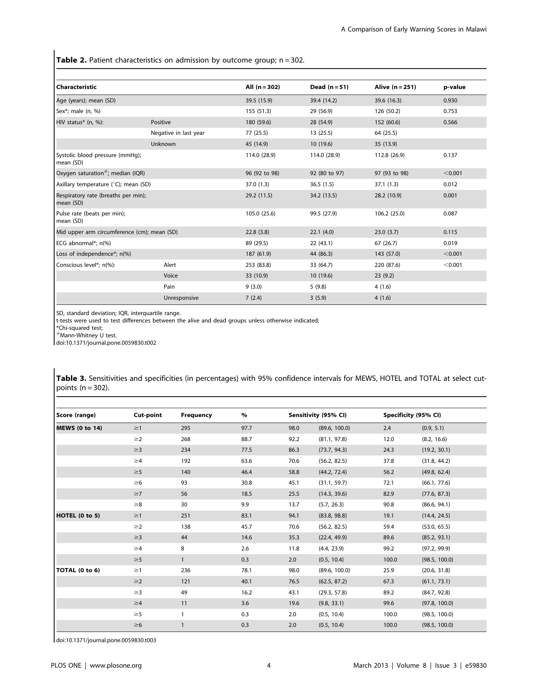Table 2. Patient characteristics on admission by outcome group; n = 302.

| Characteristic                                   |                       | All $(n = 302)$ | Dead $(n=51)$ | Alive (n = 251) | p-value |
|--------------------------------------------------|-----------------------|-----------------|---------------|-----------------|---------|
| Age (years); mean (SD)                           |                       | 39.5 (15.9)     | 39.4 (14.2)   | 39.6 (16.3)     | 0.930   |
| Sex*; male $(n, %)$                              |                       | 155 (51.3)      | 29 (56.9)     | 126 (50.2)      | 0.753   |
| HIV status* (n, %):                              | Positive              | 180 (59.6)      | 28 (54.9)     | 152 (60.6)      | 0.566   |
|                                                  | Negative in last year | 77 (25.5)       | 13(25.5)      | 64 (25.5)       |         |
|                                                  | Unknown               | 45 (14.9)       | 10 (19.6)     | 35 (13.9)       |         |
| Systolic blood pressure (mmHq);<br>mean (SD)     |                       | 114.0 (28.9)    | 114.0 (28.9)  | 112.8 (26.9)    | 0.137   |
| Oxygen saturation <sup>#</sup> ; median (IQR)    |                       | 96 (92 to 98)   | 92 (80 to 97) | 97 (93 to 98)   | < 0.001 |
| Axillary temperature (°C); mean (SD)             |                       | 37.0(1.3)       | 36.5(1.5)     | 37.1(1.3)       | 0.012   |
| Respiratory rate (breaths per min);<br>mean (SD) |                       | 29.2 (11.5)     | 34.2 (13.5)   | 28.2 (10.9)     | 0.001   |
| Pulse rate (beats per min);<br>mean (SD)         |                       | 105.0 (25.6)    | 99.5 (27.9)   | 106.2 (25.0)    | 0.087   |
| Mid upper arm circumference (cm); mean (SD)      |                       | 22.8(3.8)       | 22.1(4.0)     | 23.0(3.7)       | 0.115   |
| ECG abnormal*; n(%)                              |                       | 89 (29.5)       | 22(43.1)      | 67 (26.7)       | 0.019   |
| Loss of independence*; n(%)                      |                       | 187 (61.9)      | 44 (86.3)     | 143 (57.0)      | < 0.001 |
| Conscious level*; n(%):                          | Alert                 | 253 (83.8)      | 33 (64.7)     | 220 (87.6)      | < 0.001 |
|                                                  | Voice                 | 33 (10.9)       | 10 (19.6)     | 23(9.2)         |         |
|                                                  | Pain                  | 9(3.0)          | 5(9.8)        | 4(1.6)          |         |
|                                                  | Unresponsive          | 7(2.4)          | 3(5.9)        | 4(1.6)          |         |

SD, standard deviation; IQR, interquartile range.

t-tests were used to test differences between the alive and dead groups unless otherwise indicated;

\*Chi-squared test; #Mann-Whitney U test.

doi:10.1371/journal.pone.0059830.t002

Table 3. Sensitivities and specificities (in percentages) with 95% confidence intervals for MEWS, HOTEL and TOTAL at select cutpoints (n = 302).

| Score (range)         | <b>Cut-point</b> | <b>Frequency</b> | $\%$ |      | Sensitivity (95% CI) |       | Specificity (95% CI) |
|-----------------------|------------------|------------------|------|------|----------------------|-------|----------------------|
| <b>MEWS (0 to 14)</b> | $\geq$ 1         | 295              | 97.7 | 98.0 | (89.6, 100.0)        | 2.4   | (0.9, 5.1)           |
|                       | $\geq$ 2         | 268              | 88.7 | 92.2 | (81.1, 97.8)         | 12.0  | (8.2, 16.6)          |
|                       | $\geq$ 3         | 234              | 77.5 | 86.3 | (73.7, 94.3)         | 24.3  | (19.2, 30.1)         |
|                       | $\geq 4$         | 192              | 63.6 | 70.6 | (56.2, 82.5)         | 37.8  | (31.8, 44.2)         |
|                       | $\geq 5$         | 140              | 46.4 | 58.8 | (44.2, 72.4)         | 56.2  | (49.8, 62.4)         |
|                       | $\geq 6$         | 93               | 30.8 | 45.1 | (31.1, 59.7)         | 72.1  | (66.1, 77.6)         |
|                       | $\geq 7$         | 56               | 18.5 | 25.5 | (14.3, 39.6)         | 82.9  | (77.6, 87.3)         |
|                       | $\geq 8$         | 30               | 9.9  | 13.7 | (5.7, 26.3)          | 90.8  | (86.6, 94.1)         |
| HOTEL (0 to 5)        | $\geq$ 1         | 251              | 83.1 | 94.1 | (83.8, 98.8)         | 19.1  | (14.4, 24.5)         |
|                       | $\geq$ 2         | 138              | 45.7 | 70.6 | (56.2, 82.5)         | 59.4  | (53.0, 65.5)         |
|                       | $\geq$ 3         | 44               | 14.6 | 35.3 | (22.4, 49.9)         | 89.6  | (85.2, 93.1)         |
|                       | $\geq 4$         | 8                | 2.6  | 11.8 | (4.4, 23.9)          | 99.2  | (97.2, 99.9)         |
|                       | $\geq 5$         | $\mathbf{1}$     | 0.3  | 2.0  | (0.5, 10.4)          | 100.0 | (98.5, 100.0)        |
| TOTAL (0 to 6)        | $\geq$ 1         | 236              | 78.1 | 98.0 | (89.6, 100.0)        | 25.9  | (20.6, 31.8)         |
|                       | $\geq$ 2         | 121              | 40.1 | 76.5 | (62.5, 87.2)         | 67.3  | (61.1, 73.1)         |
|                       | $\geq$ 3         | 49               | 16.2 | 43.1 | (29.3, 57.8)         | 89.2  | (84.7, 92.8)         |
|                       | $\geq 4$         | 11               | 3.6  | 19.6 | (9.8, 33.1)          | 99.6  | (97.8, 100.0)        |
|                       | $\geq$ 5         | $\mathbf{1}$     | 0.3  | 2.0  | (0.5, 10.4)          | 100.0 | (98.5, 100.0)        |
|                       | $\geq 6$         | $\mathbf{1}$     | 0.3  | 2.0  | (0.5, 10.4)          | 100.0 | (98.5, 100.0)        |

doi:10.1371/journal.pone.0059830.t003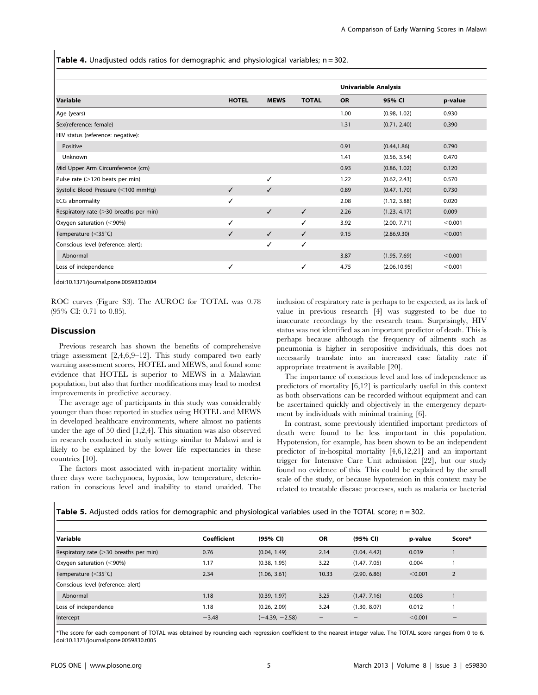**Table 4.** Unadjusted odds ratios for demographic and physiological variables;  $n = 302$ .

|                                        |              |             |              | <b>Univariable Analysis</b> |               |         |
|----------------------------------------|--------------|-------------|--------------|-----------------------------|---------------|---------|
| Variable                               | <b>HOTEL</b> | <b>MEWS</b> | <b>TOTAL</b> | <b>OR</b>                   | 95% CI        | p-value |
| Age (years)                            |              |             |              | 1.00                        | (0.98, 1.02)  | 0.930   |
| Sex(reference: female)                 |              |             |              | 1.31                        | (0.71, 2.40)  | 0.390   |
| HIV status (reference: negative):      |              |             |              |                             |               |         |
| Positive                               |              |             |              | 0.91                        | (0.44, 1.86)  | 0.790   |
| Unknown                                |              |             |              | 1.41                        | (0.56, 3.54)  | 0.470   |
| Mid Upper Arm Circumference (cm)       |              |             |              | 0.93                        | (0.86, 1.02)  | 0.120   |
| Pulse rate (>120 beats per min)        |              | ✓           |              | 1.22                        | (0.62, 2.43)  | 0.570   |
| Systolic Blood Pressure (<100 mmHq)    | $\checkmark$ | ✓           |              | 0.89                        | (0.47, 1.70)  | 0.730   |
| <b>ECG</b> abnormality                 | ✓            |             |              | 2.08                        | (1.12, 3.88)  | 0.020   |
| Respiratory rate (>30 breaths per min) |              | ✓           | $\checkmark$ | 2.26                        | (1.23, 4.17)  | 0.009   |
| Oxygen saturation (<90%)               | ✓            |             |              | 3.92                        | (2.00, 7.71)  | < 0.001 |
| Temperature $(<35^{\circ}C)$           | ✓            | ✓           | ✓            | 9.15                        | (2.86, 9.30)  | < 0.001 |
| Conscious level (reference: alert):    |              | ✓           | ✓            |                             |               |         |
| Abnormal                               |              |             |              | 3.87                        | (1.95, 7.69)  | < 0.001 |
| Loss of independence                   | ✓            |             | ✓            | 4.75                        | (2.06, 10.95) | < 0.001 |

doi:10.1371/journal.pone.0059830.t004

ROC curves (Figure S3). The AUROC for TOTAL was 0.78 (95% CI: 0.71 to 0.85).

# Discussion

Previous research has shown the benefits of comprehensive triage assessment [2,4,6,9–12]. This study compared two early warning assessment scores, HOTEL and MEWS, and found some evidence that HOTEL is superior to MEWS in a Malawian population, but also that further modifications may lead to modest improvements in predictive accuracy.

The average age of participants in this study was considerably younger than those reported in studies using HOTEL and MEWS in developed healthcare environments, where almost no patients under the age of 50 died [1,2,4]. This situation was also observed in research conducted in study settings similar to Malawi and is likely to be explained by the lower life expectancies in these countries [10].

The factors most associated with in-patient mortality within three days were tachypnoea, hypoxia, low temperature, deterioration in conscious level and inability to stand unaided. The

inclusion of respiratory rate is perhaps to be expected, as its lack of value in previous research [4] was suggested to be due to inaccurate recordings by the research team. Surprisingly, HIV status was not identified as an important predictor of death. This is perhaps because although the frequency of ailments such as pneumonia is higher in seropositive individuals, this does not necessarily translate into an increased case fatality rate if appropriate treatment is available [20].

The importance of conscious level and loss of independence as predictors of mortality [6,12] is particularly useful in this context as both observations can be recorded without equipment and can be ascertained quickly and objectively in the emergency department by individuals with minimal training [6].

In contrast, some previously identified important predictors of death were found to be less important in this population. Hypotension, for example, has been shown to be an independent predictor of in-hospital mortality [4,6,12,21] and an important trigger for Intensive Care Unit admission [22], but our study found no evidence of this. This could be explained by the small scale of the study, or because hypotension in this context may be related to treatable disease processes, such as malaria or bacterial

Table 5. Adjusted odds ratios for demographic and physiological variables used in the TOTAL score; n = 302.

| Variable                                 | Coefficient | (95% CI)         | <b>OR</b>                | (95% CI)     | p-value | Score*         |
|------------------------------------------|-------------|------------------|--------------------------|--------------|---------|----------------|
| Respiratory rate $(>30$ breaths per min) | 0.76        | (0.04, 1.49)     | 2.14                     | (1.04, 4.42) | 0.039   |                |
| Oxygen saturation $(< 90\%)$             | 1.17        | (0.38, 1.95)     | 3.22                     | (1.47, 7.05) | 0.004   |                |
| Temperature $(<35^{\circ}C)$             | 2.34        | (1.06, 3.61)     | 10.33                    | (2.90, 6.86) | < 0.001 | $\overline{2}$ |
| Conscious level (reference: alert)       |             |                  |                          |              |         |                |
| Abnormal                                 | 1.18        | (0.39, 1.97)     | 3.25                     | (1.47, 7.16) | 0.003   |                |
| Loss of independence                     | 1.18        | (0.26, 2.09)     | 3.24                     | (1.30, 8.07) | 0.012   |                |
| Intercept                                | $-3.48$     | $(-4.39, -2.58)$ | $\overline{\phantom{0}}$ |              | < 0.001 |                |

\*The score for each component of TOTAL was obtained by rounding each regression coefficient to the nearest integer value. The TOTAL score ranges from 0 to 6. doi:10.1371/journal.pone.0059830.t005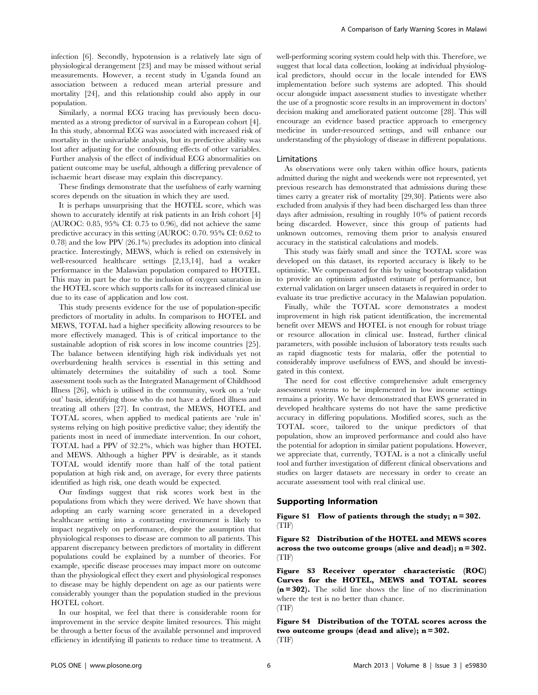infection [6]. Secondly, hypotension is a relatively late sign of physiological derangement [23] and may be missed without serial measurements. However, a recent study in Uganda found an association between a reduced mean arterial pressure and mortality [24], and this relationship could also apply in our population.

Similarly, a normal ECG tracing has previously been documented as a strong predictor of survival in a European cohort [4]. In this study, abnormal ECG was associated with increased risk of mortality in the univariable analysis, but its predictive ability was lost after adjusting for the confounding effects of other variables. Further analysis of the effect of individual ECG abnormalities on patient outcome may be useful, although a differing prevalence of ischaemic heart disease may explain this discrepancy.

These findings demonstrate that the usefulness of early warning scores depends on the situation in which they are used.

It is perhaps unsurprising that the HOTEL score, which was shown to accurately identify at risk patients in an Irish cohort [4] (AUROC: 0.85, 95% CI: 0.75 to 0.96), did not achieve the same predictive accuracy in this setting (AUROC: 0.70. 95% CI: 0.62 to 0.78) and the low PPV (26.1%) precludes its adoption into clinical practice. Interestingly, MEWS, which is relied on extensively in well-resourced healthcare settings [2,13,14], had a weaker performance in the Malawian population compared to HOTEL. This may in part be due to the inclusion of oxygen saturation in the HOTEL score which supports calls for its increased clinical use due to its ease of application and low cost.

This study presents evidence for the use of population-specific predictors of mortality in adults. In comparison to HOTEL and MEWS, TOTAL had a higher specificity allowing resources to be more effectively managed. This is of critical importance to the sustainable adoption of risk scores in low income countries [25]. The balance between identifying high risk individuals yet not overburdening health services is essential in this setting and ultimately determines the suitability of such a tool. Some assessment tools such as the Integrated Management of Childhood Illness [26], which is utilised in the community, work on a 'rule out' basis, identifying those who do not have a defined illness and treating all others [27]. In contrast, the MEWS, HOTEL and TOTAL scores, when applied to medical patients are 'rule in' systems relying on high positive predictive value; they identify the patients most in need of immediate intervention. In our cohort, TOTAL had a PPV of 32.2%, which was higher than HOTEL and MEWS. Although a higher PPV is desirable, as it stands TOTAL would identify more than half of the total patient population at high risk and, on average, for every three patients identified as high risk, one death would be expected.

Our findings suggest that risk scores work best in the populations from which they were derived. We have shown that adopting an early warning score generated in a developed healthcare setting into a contrasting environment is likely to impact negatively on performance, despite the assumption that physiological responses to disease are common to all patients. This apparent discrepancy between predictors of mortality in different populations could be explained by a number of theories. For example, specific disease processes may impact more on outcome than the physiological effect they exert and physiological responses to disease may be highly dependent on age as our patients were considerably younger than the population studied in the previous HOTEL cohort.

In our hospital, we feel that there is considerable room for improvement in the service despite limited resources. This might be through a better focus of the available personnel and improved efficiency in identifying ill patients to reduce time to treatment. A well-performing scoring system could help with this. Therefore, we suggest that local data collection, looking at individual physiological predictors, should occur in the locale intended for EWS implementation before such systems are adopted. This should occur alongside impact assessment studies to investigate whether the use of a prognostic score results in an improvement in doctors' decision making and ameliorated patient outcome [28]. This will encourage an evidence based practice approach to emergency medicine in under-resourced settings, and will enhance our understanding of the physiology of disease in different populations.

#### Limitations

As observations were only taken within office hours, patients admitted during the night and weekends were not represented, yet previous research has demonstrated that admissions during these times carry a greater risk of mortality [29,30]. Patients were also excluded from analysis if they had been discharged less than three days after admission, resulting in roughly 10% of patient records being discarded. However, since this group of patients had unknown outcomes, removing them prior to analysis ensured accuracy in the statistical calculations and models.

This study was fairly small and since the TOTAL score was developed on this dataset, its reported accuracy is likely to be optimistic. We compensated for this by using bootstrap validation to provide an optimism adjusted estimate of performance, but external validation on larger unseen datasets is required in order to evaluate its true predictive accuracy in the Malawian population.

Finally, while the TOTAL score demonstrates a modest improvement in high risk patient identification, the incremental benefit over MEWS and HOTEL is not enough for robust triage or resource allocation in clinical use. Instead, further clinical parameters, with possible inclusion of laboratory tests results such as rapid diagnostic tests for malaria, offer the potential to considerably improve usefulness of EWS, and should be investigated in this context.

The need for cost effective comprehensive adult emergency assessment systems to be implemented in low income settings remains a priority. We have demonstrated that EWS generated in developed healthcare systems do not have the same predictive accuracy in differing populations. Modified scores, such as the TOTAL score, tailored to the unique predictors of that population, show an improved performance and could also have the potential for adoption in similar patient populations. However, we appreciate that, currently, TOTAL is a not a clinically useful tool and further investigation of different clinical observations and studies on larger datasets are necessary in order to create an accurate assessment tool with real clinical use.

#### Supporting Information

Figure S1 Flow of patients through the study; n = 302. (TIF)

Figure S2 Distribution of the HOTEL and MEWS scores across the two outcome groups (alive and dead); n = 302. (TIF)

Figure S3 Receiver operator characteristic (ROC) Curves for the HOTEL, MEWS and TOTAL scores  $(n = 302)$ . The solid line shows the line of no discrimination where the test is no better than chance. (TIF)

Figure S4 Distribution of the TOTAL scores across the two outcome groups (dead and alive); n = 302. (TIF)